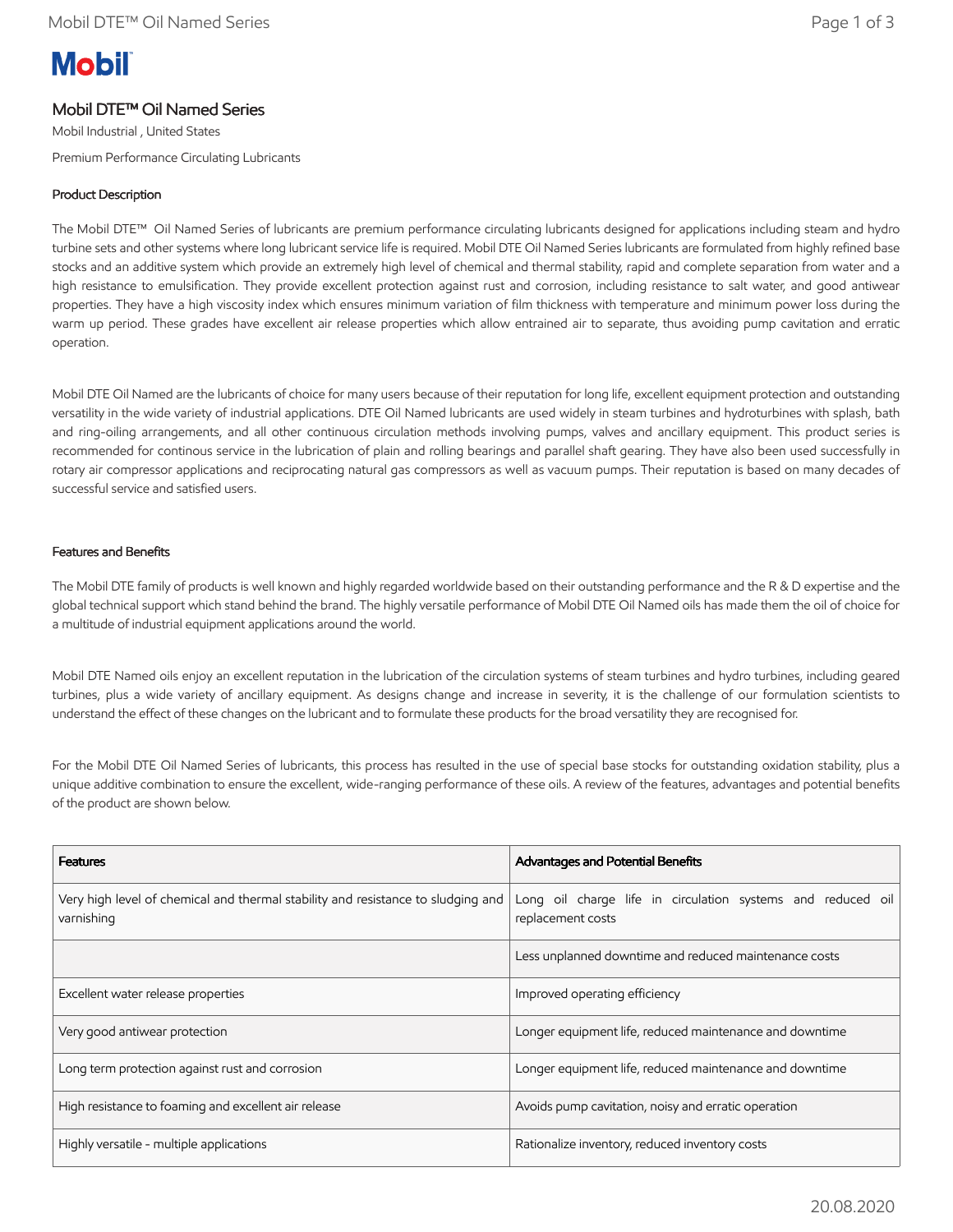# **Mobil**

# Mobil DTE™ Oil Named Series

Mobil Industrial , United States

Premium Performance Circulating Lubricants

## Product Description

The Mobil DTE™ Oil Named Series of lubricants are premium performance circulating lubricants designed for applications including steam and hydro turbine sets and other systems where long lubricant service life is required. Mobil DTE Oil Named Series lubricants are formulated from highly refined base stocks and an additive system which provide an extremely high level of chemical and thermal stability, rapid and complete separation from water and a high resistance to emulsification. They provide excellent protection against rust and corrosion, including resistance to salt water, and good antiwear properties. They have a high viscosity index which ensures minimum variation of film thickness with temperature and minimum power loss during the warm up period. These grades have excellent air release properties which allow entrained air to separate, thus avoiding pump cavitation and erratic operation.

Mobil DTE Oil Named are the lubricants of choice for many users because of their reputation for long life, excellent equipment protection and outstanding versatility in the wide variety of industrial applications. DTE Oil Named lubricants are used widely in steam turbines and hydroturbines with splash, bath and ring-oiling arrangements, and all other continuous circulation methods involving pumps, valves and ancillary equipment. This product series is recommended for continous service in the lubrication of plain and rolling bearings and parallel shaft gearing. They have also been used successfully in rotary air compressor applications and reciprocating natural gas compressors as well as vacuum pumps. Their reputation is based on many decades of successful service and satisfied users.

## Features and Benefits

The Mobil DTE family of products is well known and highly regarded worldwide based on their outstanding performance and the R & D expertise and the global technical support which stand behind the brand. The highly versatile performance of Mobil DTE Oil Named oils has made them the oil of choice for a multitude of industrial equipment applications around the world.

Mobil DTE Named oils enjoy an excellent reputation in the lubrication of the circulation systems of steam turbines and hydro turbines, including geared turbines, plus a wide variety of ancillary equipment. As designs change and increase in severity, it is the challenge of our formulation scientists to understand the effect of these changes on the lubricant and to formulate these products for the broad versatility they are recognised for.

For the Mobil DTE Oil Named Series of lubricants, this process has resulted in the use of special base stocks for outstanding oxidation stability, plus a unique additive combination to ensure the excellent, wide-ranging performance of these oils. A review of the features, advantages and potential benefits of the product are shown below.

| <b>Features</b>                                                                                | <b>Advantages and Potential Benefits</b>                                         |  |  |
|------------------------------------------------------------------------------------------------|----------------------------------------------------------------------------------|--|--|
| Very high level of chemical and thermal stability and resistance to sludging and<br>varnishing | Long oil charge life in circulation systems and reduced oil<br>replacement costs |  |  |
|                                                                                                | Less unplanned downtime and reduced maintenance costs                            |  |  |
| Excellent water release properties                                                             | Improved operating efficiency                                                    |  |  |
| Very good antiwear protection                                                                  | Longer equipment life, reduced maintenance and downtime                          |  |  |
| Long term protection against rust and corrosion                                                | Longer equipment life, reduced maintenance and downtime                          |  |  |
| High resistance to foaming and excellent air release                                           | Avoids pump cavitation, noisy and erratic operation                              |  |  |
| Highly versatile - multiple applications                                                       | Rationalize inventory, reduced inventory costs                                   |  |  |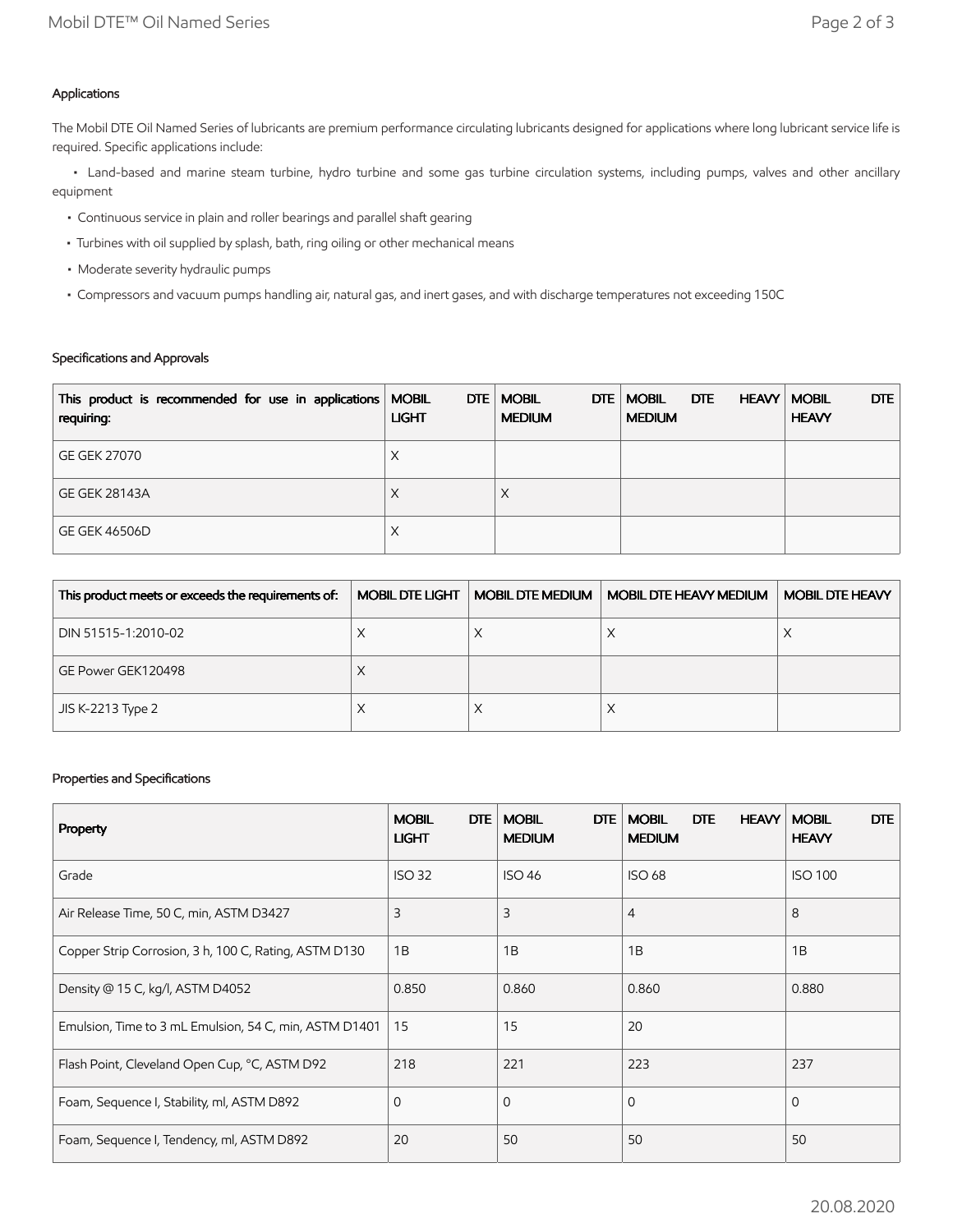## Applications

The Mobil DTE Oil Named Series of lubricants are premium performance circulating lubricants designed for applications where long lubricant service life is required. Specific applications include:

 • Land-based and marine steam turbine, hydro turbine and some gas turbine circulation systems, including pumps, valves and other ancillary equipment

- Continuous service in plain and roller bearings and parallel shaft gearing
- Turbines with oil supplied by splash, bath, ring oiling or other mechanical means
- Moderate severity hydraulic pumps
- Compressors and vacuum pumps handling air, natural gas, and inert gases, and with discharge temperatures not exceeding 150C

# Specifications and Approvals

| This product is recommended for use in applications   MOBIL<br>requiring: | DTE  <br><b>LIGHT</b> | <b>MOBIL</b><br>DTE<br><b>MEDIUM</b> | DTE<br><b>MOBIL</b><br><b>HEAVY</b><br><b>MEDIUM</b> | DTE<br><b>MOBIL</b><br><b>HEAVY</b> |
|---------------------------------------------------------------------------|-----------------------|--------------------------------------|------------------------------------------------------|-------------------------------------|
| <b>GE GEK 27070</b>                                                       | X                     |                                      |                                                      |                                     |
| <b>GE GEK 28143A</b>                                                      | X                     | ⋏                                    |                                                      |                                     |
| <b>GE GEK 46506D</b>                                                      | X                     |                                      |                                                      |                                     |

| This product meets or exceeds the requirements of: | MOBIL DTE LIGHT | MOBIL DTE MEDIUM | <b>MOBIL DTE HEAVY MEDIUM</b> | <b>MOBIL DTE HEAVY</b> |
|----------------------------------------------------|-----------------|------------------|-------------------------------|------------------------|
| DIN 51515-1:2010-02                                | ∧               |                  | ∧                             |                        |
| GE Power GEK120498                                 | ⋏               |                  |                               |                        |
| JIS K-2213 Type 2                                  | ∧               |                  | ∧                             |                        |

## Properties and Specifications

| <b>Property</b>                                        | <b>DTE</b><br><b>MOBIL</b><br><b>LIGHT</b> | <b>MOBIL</b><br><b>DTE</b><br><b>MEDIUM</b> | <b>HEAVY</b><br><b>MOBIL</b><br><b>DTE</b><br><b>MEDIUM</b> | <b>DTE</b><br><b>MOBIL</b><br><b>HEAVY</b> |
|--------------------------------------------------------|--------------------------------------------|---------------------------------------------|-------------------------------------------------------------|--------------------------------------------|
| Grade                                                  | <b>ISO 32</b>                              | <b>ISO 46</b>                               | <b>ISO 68</b>                                               | <b>ISO 100</b>                             |
| Air Release Time, 50 C, min, ASTM D3427                | 3                                          | 3                                           | $\overline{4}$                                              | 8                                          |
| Copper Strip Corrosion, 3 h, 100 C, Rating, ASTM D130  | 1B                                         | 1B                                          | 1B                                                          | 1B                                         |
| Density @ 15 C, kg/l, ASTM D4052                       | 0.850                                      | 0.860                                       | 0.860                                                       | 0.880                                      |
| Emulsion, Time to 3 mL Emulsion, 54 C, min, ASTM D1401 | 15                                         | 15                                          | 20                                                          |                                            |
| Flash Point, Cleveland Open Cup, °C, ASTM D92          | 218                                        | 221                                         | 223                                                         | 237                                        |
| Foam, Sequence I, Stability, ml, ASTM D892             | $\Omega$                                   | $\mathbf 0$                                 | $\Omega$                                                    | $\Omega$                                   |
| Foam, Sequence I, Tendency, ml, ASTM D892              | 20                                         | 50                                          | 50                                                          | 50                                         |